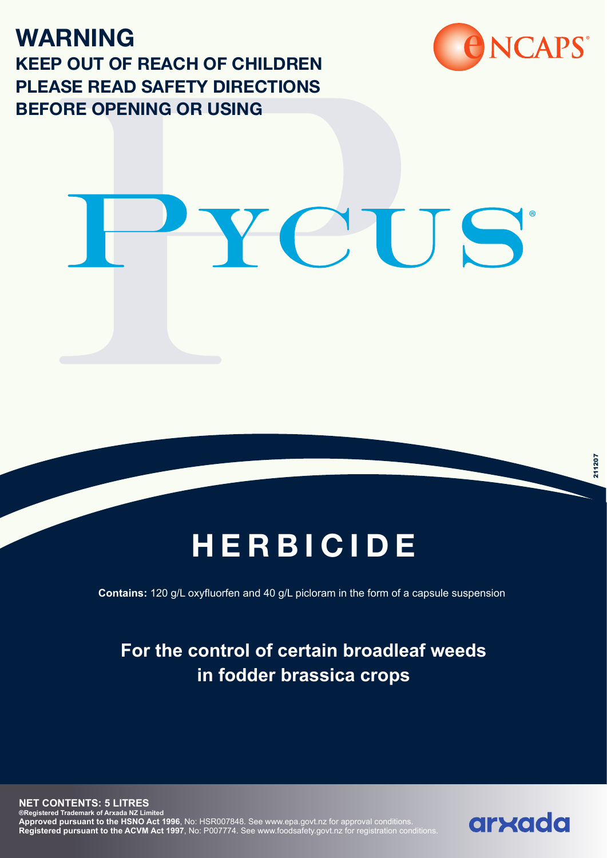**WARNING KEEP OUT OF REACH OF CHILDREN PLEASE READ SAFETY DIRECTIONS BEFORE OPENING OR USING**



# YCUS

# **HERBICIDE**

**Contains:** 120 g/L oxyfluorfen and 40 g/L picloram in the form of a capsule suspension

## **For the control of certain broadleaf weeds in fodder brassica crops**

**NET CONTENTS: 5 LITRES ®Registered Trademark of Arxada NZ Limited Approved pursuant to the HSNO Act 1996**, No: HSR007848. See www.epa.govt.nz for approval conditions. **Registered pursuant to the ACVM Act 1997**, No: P007774. See www.foodsafety.govt.nz for registration conditions.

# arxada